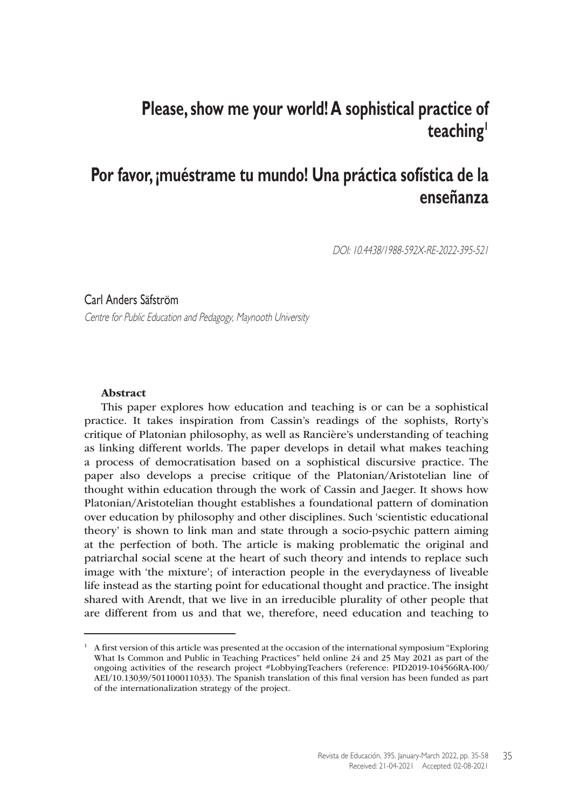# **Please, show me your world! A sophistical practice of teaching1**

# **Por favor, ¡muéstrame tu mundo! Una práctica sofística de la enseñanza**

DOI: 10.4438/1988-592X-RE-2022-395-521

#### Carl Anders Säfström

Centre for Public Education and Pedagogy, Maynooth University

#### Abstract

This paper explores how education and teaching is or can be a sophistical practice. It takes inspiration from Cassin's readings of the sophists, Rorty's critique of Platonian philosophy, as well as Rancière's understanding of teaching as linking different worlds. The paper develops in detail what makes teaching a process of democratisation based on a sophistical discursive practice. The paper also develops a precise critique of the Platonian/Aristotelian line of thought within education through the work of Cassin and Jaeger. It shows how Platonian/Aristotelian thought establishes a foundational pattern of domination over education by philosophy and other disciplines. Such 'scientistic educational theory' is shown to link man and state through a socio-psychic pattern aiming at the perfection of both. The article is making problematic the original and patriarchal social scene at the heart of such theory and intends to replace such image with 'the mixture'; of interaction people in the everydayness of liveable life instead as the starting point for educational thought and practice. The insight shared with Arendt, that we live in an irreducible plurality of other people that are different from us and that we, therefore, need education and teaching to

 $1$  A first version of this article was presented at the occasion of the international symposium "Exploring" What Is Common and Public in Teaching Practices" held online 24 and 25 May 2021 as part of the ongoing activities of the research project #LobbyingTeachers (reference: PID2019-104566RA-I00/ AEI/10.13039/501100011033). The Spanish translation of this final version has been funded as part of the internationalization strategy of the project.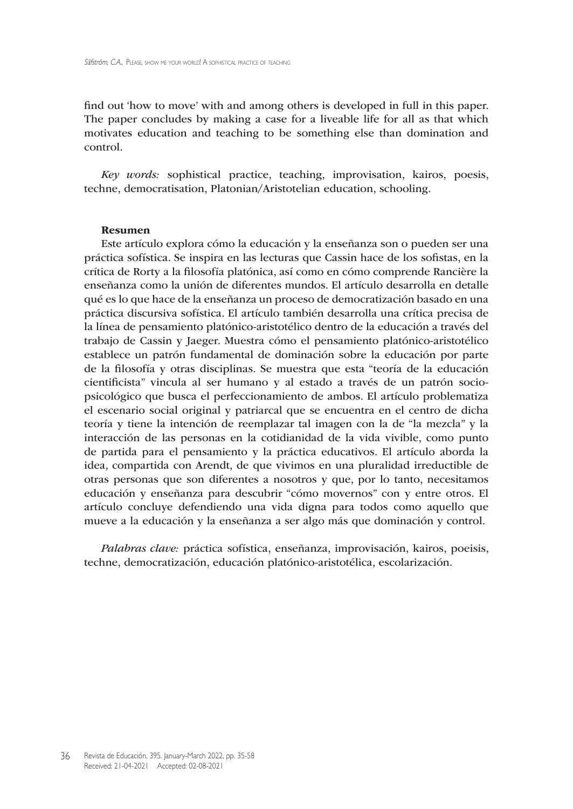find out 'how to move' with and among others is developed in full in this paper. The paper concludes by making a case for a liveable life for all as that which motivates education and teaching to be something else than domination and control.

*Key words:* sophistical practice, teaching, improvisation, kairos, poesis, techne, democratisation, Platonian/Aristotelian education, schooling.

#### Resumen

Este artículo explora cómo la educación y la enseñanza son o pueden ser una práctica sofística. Se inspira en las lecturas que Cassin hace de los sofistas, en la crítica de Rorty a la filosofía platónica, así como en cómo comprende Rancière la enseñanza como la unión de diferentes mundos. El artículo desarrolla en detalle qué es lo que hace de la enseñanza un proceso de democratización basado en una práctica discursiva sofística. El artículo también desarrolla una crítica precisa de la línea de pensamiento platónico-aristotélico dentro de la educación a través del trabajo de Cassin y Jaeger. Muestra cómo el pensamiento platónico-aristotélico establece un patrón fundamental de dominación sobre la educación por parte de la filosofía y otras disciplinas. Se muestra que esta "teoría de la educación cientificista" vincula al ser humano y al estado a través de un patrón sociopsicológico que busca el perfeccionamiento de ambos. El artículo problematiza el escenario social original y patriarcal que se encuentra en el centro de dicha teoría y tiene la intención de reemplazar tal imagen con la de "la mezcla" y la interacción de las personas en la cotidianidad de la vida vivible, como punto de partida para el pensamiento y la práctica educativos. El artículo aborda la idea, compartida con Arendt, de que vivimos en una pluralidad irreductible de otras personas que son diferentes a nosotros y que, por lo tanto, necesitamos educación y enseñanza para descubrir "cómo movernos" con y entre otros. El artículo concluye defendiendo una vida digna para todos como aquello que mueve a la educación y la enseñanza a ser algo más que dominación y control.

*Palabras clave:* práctica sofística, enseñanza, improvisación, kairos, poeisis, techne, democratización, educación platónico-aristotélica, escolarización.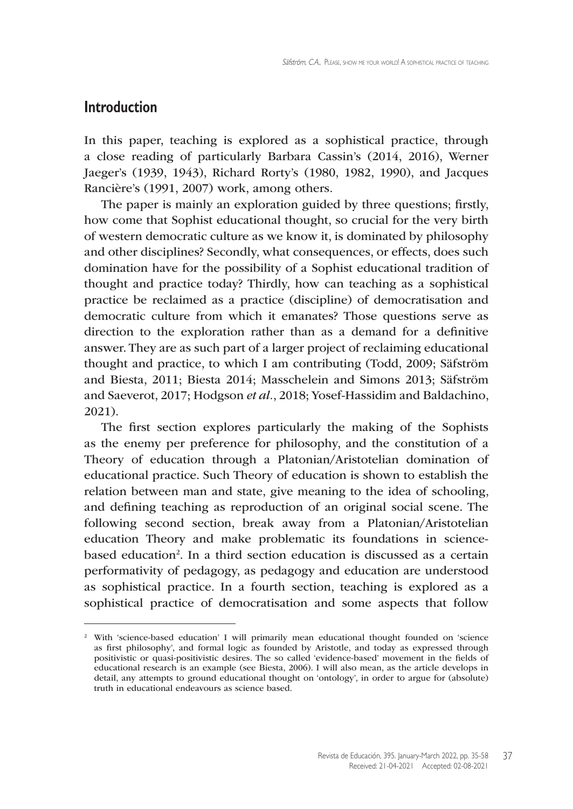## **Introduction**

In this paper, teaching is explored as a sophistical practice, through a close reading of particularly Barbara Cassin's (2014, 2016), Werner Jaeger's (1939, 1943), Richard Rorty's (1980, 1982, 1990), and Jacques Rancière's (1991, 2007) work, among others.

The paper is mainly an exploration guided by three questions; firstly, how come that Sophist educational thought, so crucial for the very birth of western democratic culture as we know it, is dominated by philosophy and other disciplines? Secondly, what consequences, or effects, does such domination have for the possibility of a Sophist educational tradition of thought and practice today? Thirdly, how can teaching as a sophistical practice be reclaimed as a practice (discipline) of democratisation and democratic culture from which it emanates? Those questions serve as direction to the exploration rather than as a demand for a definitive answer. They are as such part of a larger project of reclaiming educational thought and practice, to which I am contributing (Todd, 2009; Säfström and Biesta, 2011; Biesta 2014; Masschelein and Simons 2013; Säfström and Saeverot, 2017; Hodgson *et al.*, 2018; Yosef-Hassidim and Baldachino, 2021).

The first section explores particularly the making of the Sophists as the enemy per preference for philosophy, and the constitution of a Theory of education through a Platonian/Aristotelian domination of educational practice. Such Theory of education is shown to establish the relation between man and state, give meaning to the idea of schooling, and defining teaching as reproduction of an original social scene. The following second section, break away from a Platonian/Aristotelian education Theory and make problematic its foundations in sciencebased education<sup>2</sup>. In a third section education is discussed as a certain performativity of pedagogy, as pedagogy and education are understood as sophistical practice. In a fourth section, teaching is explored as a sophistical practice of democratisation and some aspects that follow

<sup>&</sup>lt;sup>2</sup> With 'science-based education' I will primarily mean educational thought founded on 'science as first philosophy', and formal logic as founded by Aristotle, and today as expressed through positivistic or quasi-positivistic desires. The so called 'evidence-based' movement in the fields of educational research is an example (see Biesta, 2006). I will also mean, as the article develops in detail, any attempts to ground educational thought on 'ontology', in order to argue for (absolute) truth in educational endeavours as science based.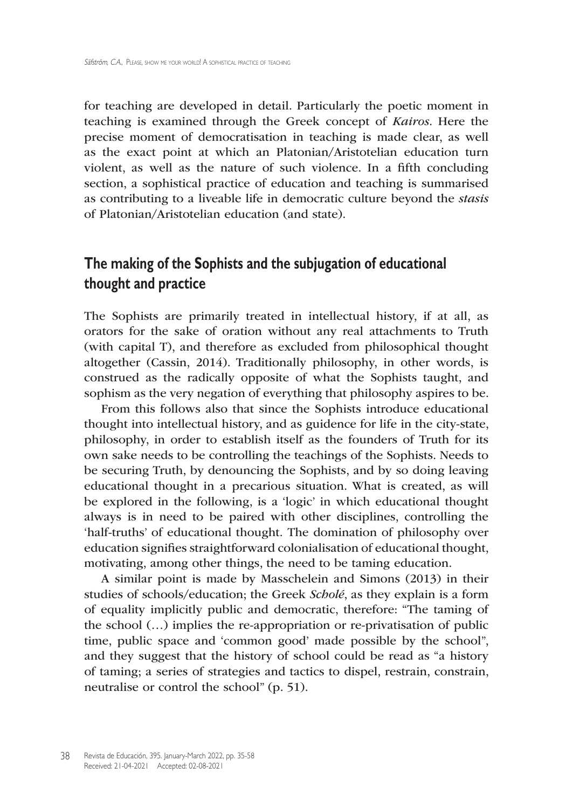for teaching are developed in detail. Particularly the poetic moment in teaching is examined through the Greek concept of *Kairos*. Here the precise moment of democratisation in teaching is made clear, as well as the exact point at which an Platonian/Aristotelian education turn violent, as well as the nature of such violence. In a fifth concluding section, a sophistical practice of education and teaching is summarised as contributing to a liveable life in democratic culture beyond the *stasis* of Platonian/Aristotelian education (and state).

## **The making of the Sophists and the subjugation of educational thought and practice**

The Sophists are primarily treated in intellectual history, if at all, as orators for the sake of oration without any real attachments to Truth (with capital T), and therefore as excluded from philosophical thought altogether (Cassin, 2014). Traditionally philosophy, in other words, is construed as the radically opposite of what the Sophists taught, and sophism as the very negation of everything that philosophy aspires to be.

From this follows also that since the Sophists introduce educational thought into intellectual history, and as guidence for life in the city-state, philosophy, in order to establish itself as the founders of Truth for its own sake needs to be controlling the teachings of the Sophists. Needs to be securing Truth, by denouncing the Sophists, and by so doing leaving educational thought in a precarious situation. What is created, as will be explored in the following, is a 'logic' in which educational thought always is in need to be paired with other disciplines, controlling the 'half-truths' of educational thought. The domination of philosophy over education signifies straightforward colonialisation of educational thought, motivating, among other things, the need to be taming education.

A similar point is made by Masschelein and Simons (2013) in their studies of schools/education; the Greek *Scholé*, as they explain is a form of equality implicitly public and democratic, therefore: "The taming of the school (…) implies the re-appropriation or re-privatisation of public time, public space and 'common good' made possible by the school", and they suggest that the history of school could be read as "a history of taming; a series of strategies and tactics to dispel, restrain, constrain, neutralise or control the school" (p. 51).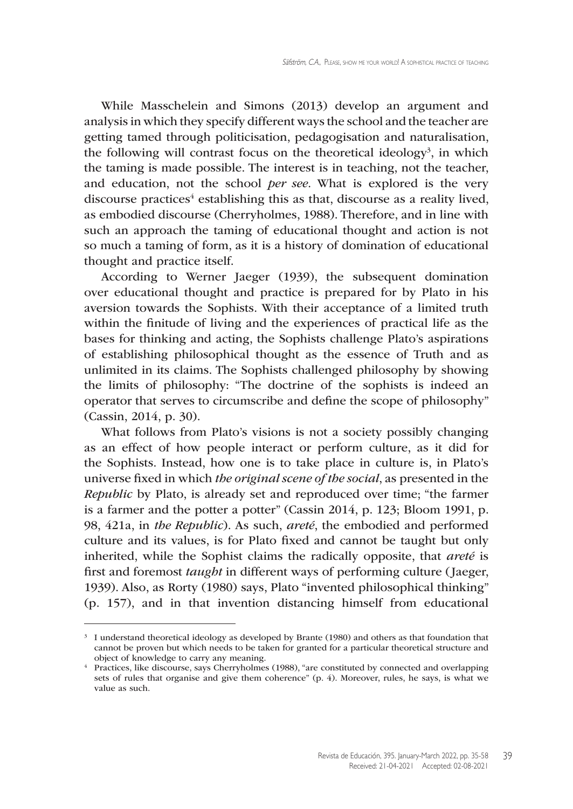While Masschelein and Simons (2013) develop an argument and analysis in which they specify different ways the school and the teacher are getting tamed through politicisation, pedagogisation and naturalisation, the following will contrast focus on the theoretical ideology<sup>3</sup>, in which the taming is made possible. The interest is in teaching, not the teacher, and education, not the school *per see*. What is explored is the very discourse practices<sup>4</sup> establishing this as that, discourse as a reality lived, as embodied discourse (Cherryholmes, 1988). Therefore, and in line with such an approach the taming of educational thought and action is not so much a taming of form, as it is a history of domination of educational thought and practice itself.

According to Werner Jaeger (1939), the subsequent domination over educational thought and practice is prepared for by Plato in his aversion towards the Sophists. With their acceptance of a limited truth within the finitude of living and the experiences of practical life as the bases for thinking and acting, the Sophists challenge Plato's aspirations of establishing philosophical thought as the essence of Truth and as unlimited in its claims. The Sophists challenged philosophy by showing the limits of philosophy: "The doctrine of the sophists is indeed an operator that serves to circumscribe and define the scope of philosophy" (Cassin, 2014, p. 30).

What follows from Plato's visions is not a society possibly changing as an effect of how people interact or perform culture, as it did for the Sophists. Instead, how one is to take place in culture is, in Plato's universe fixed in which *the original scene of the social*, as presented in the *Republic* by Plato, is already set and reproduced over time; "the farmer is a farmer and the potter a potter" (Cassin 2014, p. 123; Bloom 1991, p. 98, 421a, in *the Republic*). As such, *areté*, the embodied and performed culture and its values, is for Plato fixed and cannot be taught but only inherited, while the Sophist claims the radically opposite, that *areté* is first and foremost *taught* in different ways of performing culture (Jaeger, 1939). Also, as Rorty (1980) says, Plato "invented philosophical thinking" (p. 157), and in that invention distancing himself from educational

<sup>&</sup>lt;sup>3</sup> I understand theoretical ideology as developed by Brante (1980) and others as that foundation that cannot be proven but which needs to be taken for granted for a particular theoretical structure and

<sup>&</sup>lt;sup>4</sup> Practices, like discourse, says Cherryholmes (1988), "are constituted by connected and overlapping sets of rules that organise and give them coherence" (p. 4). Moreover, rules, he says, is what we value as such.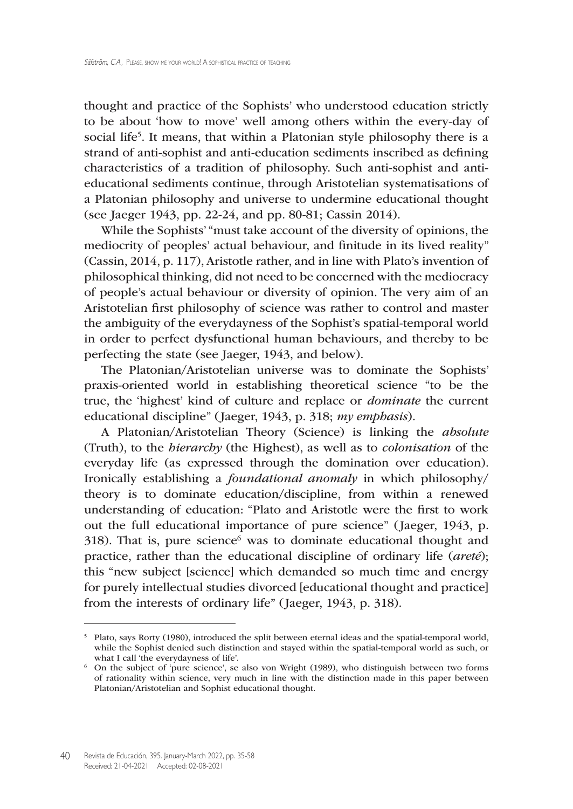thought and practice of the Sophists' who understood education strictly to be about 'how to move' well among others within the every-day of social life5 . It means, that within a Platonian style philosophy there is a strand of anti-sophist and anti-education sediments inscribed as defining characteristics of a tradition of philosophy. Such anti-sophist and antieducational sediments continue, through Aristotelian systematisations of a Platonian philosophy and universe to undermine educational thought (see Jaeger 1943, pp. 22-24, and pp. 80-81; Cassin 2014).

While the Sophists' "must take account of the diversity of opinions, the mediocrity of peoples' actual behaviour, and finitude in its lived reality" (Cassin, 2014, p. 117), Aristotle rather, and in line with Plato's invention of philosophical thinking, did not need to be concerned with the mediocracy of people's actual behaviour or diversity of opinion. The very aim of an Aristotelian first philosophy of science was rather to control and master the ambiguity of the everydayness of the Sophist's spatial-temporal world in order to perfect dysfunctional human behaviours, and thereby to be perfecting the state (see Jaeger, 1943, and below).

The Platonian/Aristotelian universe was to dominate the Sophists' praxis-oriented world in establishing theoretical science "to be the true, the 'highest' kind of culture and replace or *dominate* the current educational discipline" ( Jaeger, 1943, p. 318; *my emphasis*).

A Platonian/Aristotelian Theory (Science) is linking the *absolute* (Truth), to the *hierarchy* (the Highest), as well as to *colonisation* of the everyday life (as expressed through the domination over education). Ironically establishing a *foundational anomaly* in which philosophy/ theory is to dominate education/discipline, from within a renewed understanding of education: "Plato and Aristotle were the first to work out the full educational importance of pure science" ( Jaeger, 1943, p. 318). That is, pure science<sup>6</sup> was to dominate educational thought and practice, rather than the educational discipline of ordinary life (*areté*); this "new subject [science] which demanded so much time and energy for purely intellectual studies divorced [educational thought and practice] from the interests of ordinary life" (Jaeger, 1943, p. 318).

<sup>5</sup> Plato, says Rorty (1980), introduced the split between eternal ideas and the spatial-temporal world, while the Sophist denied such distinction and stayed within the spatial-temporal world as such, or what I call 'the everydayness of life'.

<sup>6</sup> On the subject of 'pure science', se also von Wright (1989), who distinguish between two forms of rationality within science, very much in line with the distinction made in this paper between Platonian/Aristotelian and Sophist educational thought.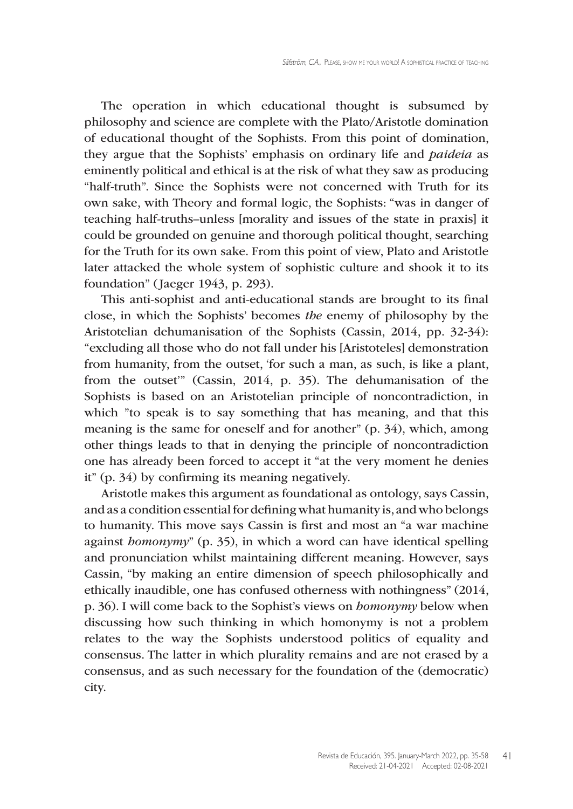The operation in which educational thought is subsumed by philosophy and science are complete with the Plato/Aristotle domination of educational thought of the Sophists. From this point of domination, they argue that the Sophists' emphasis on ordinary life and *paideia* as eminently political and ethical is at the risk of what they saw as producing "half-truth". Since the Sophists were not concerned with Truth for its own sake, with Theory and formal logic, the Sophists: "was in danger of teaching half-truths–unless [morality and issues of the state in praxis] it could be grounded on genuine and thorough political thought, searching for the Truth for its own sake. From this point of view, Plato and Aristotle later attacked the whole system of sophistic culture and shook it to its foundation" ( Jaeger 1943, p. 293).

This anti-sophist and anti-educational stands are brought to its final close, in which the Sophists' becomes *the* enemy of philosophy by the Aristotelian dehumanisation of the Sophists (Cassin, 2014, pp. 32-34): "excluding all those who do not fall under his [Aristoteles] demonstration from humanity, from the outset, 'for such a man, as such, is like a plant, from the outset'" (Cassin, 2014, p. 35). The dehumanisation of the Sophists is based on an Aristotelian principle of noncontradiction, in which "to speak is to say something that has meaning, and that this meaning is the same for oneself and for another" (p. 34), which, among other things leads to that in denying the principle of noncontradiction one has already been forced to accept it "at the very moment he denies it" (p. 34) by confirming its meaning negatively.

Aristotle makes this argument as foundational as ontology, says Cassin, and as a condition essential for defining what humanity is, and who belongs to humanity. This move says Cassin is first and most an "a war machine against *homonymy*" (p. 35), in which a word can have identical spelling and pronunciation whilst maintaining different meaning. However, says Cassin, "by making an entire dimension of speech philosophically and ethically inaudible, one has confused otherness with nothingness" (2014, p. 36). I will come back to the Sophist's views on *homonymy* below when discussing how such thinking in which homonymy is not a problem relates to the way the Sophists understood politics of equality and consensus. The latter in which plurality remains and are not erased by a consensus, and as such necessary for the foundation of the (democratic) city.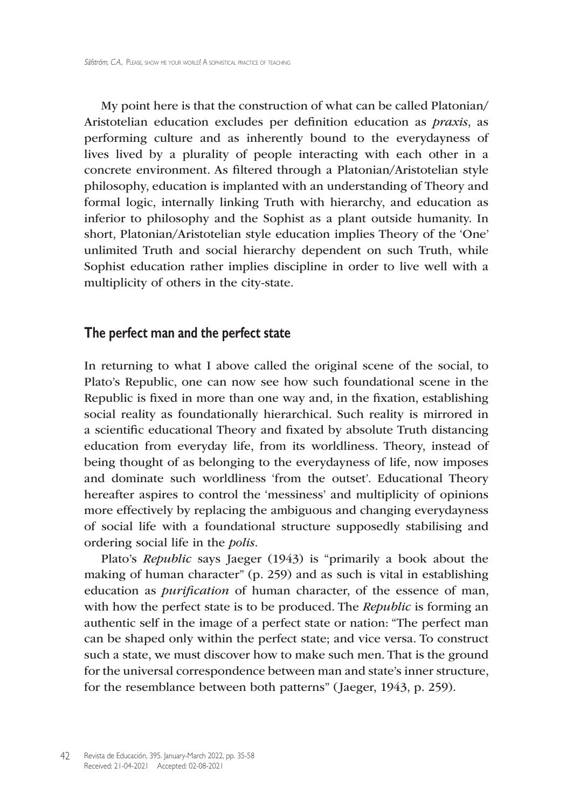My point here is that the construction of what can be called Platonian/ Aristotelian education excludes per definition education as *praxis*, as performing culture and as inherently bound to the everydayness of lives lived by a plurality of people interacting with each other in a concrete environment. As filtered through a Platonian/Aristotelian style philosophy, education is implanted with an understanding of Theory and formal logic, internally linking Truth with hierarchy, and education as inferior to philosophy and the Sophist as a plant outside humanity. In short, Platonian/Aristotelian style education implies Theory of the 'One' unlimited Truth and social hierarchy dependent on such Truth, while Sophist education rather implies discipline in order to live well with a multiplicity of others in the city-state.

### **The perfect man and the perfect state**

In returning to what I above called the original scene of the social, to Plato's Republic, one can now see how such foundational scene in the Republic is fixed in more than one way and, in the fixation, establishing social reality as foundationally hierarchical. Such reality is mirrored in a scientific educational Theory and fixated by absolute Truth distancing education from everyday life, from its worldliness. Theory, instead of being thought of as belonging to the everydayness of life, now imposes and dominate such worldliness 'from the outset'. Educational Theory hereafter aspires to control the 'messiness' and multiplicity of opinions more effectively by replacing the ambiguous and changing everydayness of social life with a foundational structure supposedly stabilising and ordering social life in the *polis*.

Plato's *Republic* says Jaeger (1943) is "primarily a book about the making of human character" (p. 259) and as such is vital in establishing education as *purification* of human character, of the essence of man, with how the perfect state is to be produced. The *Republic* is forming an authentic self in the image of a perfect state or nation: "The perfect man can be shaped only within the perfect state; and vice versa. To construct such a state, we must discover how to make such men. That is the ground for the universal correspondence between man and state's inner structure, for the resemblance between both patterns" ( Jaeger, 1943, p. 259).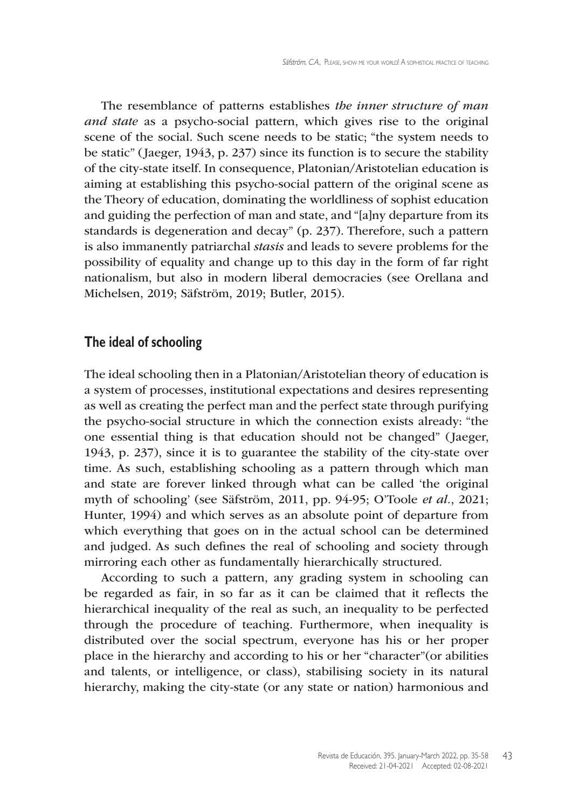The resemblance of patterns establishes *the inner structure of man and state* as a psycho-social pattern, which gives rise to the original scene of the social. Such scene needs to be static; "the system needs to be static" ( Jaeger, 1943, p. 237) since its function is to secure the stability of the city-state itself. In consequence, Platonian/Aristotelian education is aiming at establishing this psycho-social pattern of the original scene as the Theory of education, dominating the worldliness of sophist education and guiding the perfection of man and state, and "[a]ny departure from its standards is degeneration and decay" (p. 237). Therefore, such a pattern is also immanently patriarchal *stasis* and leads to severe problems for the possibility of equality and change up to this day in the form of far right nationalism, but also in modern liberal democracies (see Orellana and Michelsen, 2019; Säfström, 2019; Butler, 2015).

#### **The ideal of schooling**

The ideal schooling then in a Platonian/Aristotelian theory of education is a system of processes, institutional expectations and desires representing as well as creating the perfect man and the perfect state through purifying the psycho-social structure in which the connection exists already: "the one essential thing is that education should not be changed" (Jaeger, 1943, p. 237), since it is to guarantee the stability of the city-state over time. As such, establishing schooling as a pattern through which man and state are forever linked through what can be called 'the original myth of schooling' (see Säfström, 2011, pp. 94-95; O'Toole *et al.*, 2021; Hunter, 1994) and which serves as an absolute point of departure from which everything that goes on in the actual school can be determined and judged. As such defines the real of schooling and society through mirroring each other as fundamentally hierarchically structured.

According to such a pattern, any grading system in schooling can be regarded as fair, in so far as it can be claimed that it reflects the hierarchical inequality of the real as such, an inequality to be perfected through the procedure of teaching. Furthermore, when inequality is distributed over the social spectrum, everyone has his or her proper place in the hierarchy and according to his or her "character"(or abilities and talents, or intelligence, or class), stabilising society in its natural hierarchy, making the city-state (or any state or nation) harmonious and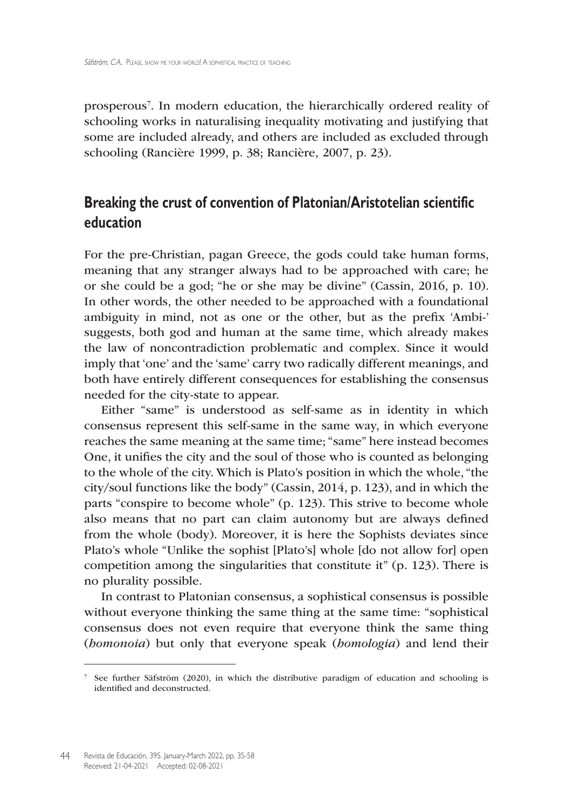prosperous<sup>7</sup>. In modern education, the hierarchically ordered reality of schooling works in naturalising inequality motivating and justifying that some are included already, and others are included as excluded through schooling (Rancière 1999, p. 38; Rancière, 2007, p. 23).

## **Breaking the crust of convention of Platonian/Aristotelian scientific education**

For the pre-Christian, pagan Greece, the gods could take human forms, meaning that any stranger always had to be approached with care; he or she could be a god; "he or she may be divine" (Cassin, 2016, p. 10). In other words, the other needed to be approached with a foundational ambiguity in mind, not as one or the other, but as the prefix 'Ambi-' suggests, both god and human at the same time, which already makes the law of noncontradiction problematic and complex. Since it would imply that 'one' and the 'same' carry two radically different meanings, and both have entirely different consequences for establishing the consensus needed for the city-state to appear.

Either "same" is understood as self-same as in identity in which consensus represent this self-same in the same way, in which everyone reaches the same meaning at the same time; "same" here instead becomes One, it unifies the city and the soul of those who is counted as belonging to the whole of the city. Which is Plato's position in which the whole, "the city/soul functions like the body" (Cassin, 2014, p. 123), and in which the parts "conspire to become whole" (p. 123). This strive to become whole also means that no part can claim autonomy but are always defined from the whole (body). Moreover, it is here the Sophists deviates since Plato's whole "Unlike the sophist [Plato's] whole [do not allow for] open competition among the singularities that constitute it" (p. 123). There is no plurality possible.

In contrast to Platonian consensus, a sophistical consensus is possible without everyone thinking the same thing at the same time: "sophistical consensus does not even require that everyone think the same thing (*homonoia*) but only that everyone speak (*homologia*) and lend their

<sup>7</sup> See further Säfström (2020), in which the distributive paradigm of education and schooling is identified and deconstructed.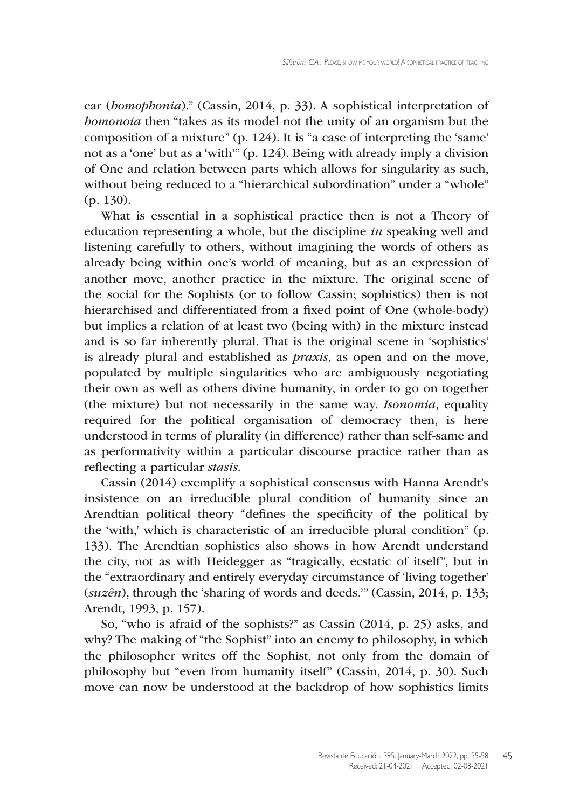ear (*homophonia*)." (Cassin, 2014, p. 33). A sophistical interpretation of *homonoia* then "takes as its model not the unity of an organism but the composition of a mixture" (p. 124). It is "a case of interpreting the 'same' not as a 'one' but as a 'with'" (p. 124). Being with already imply a division of One and relation between parts which allows for singularity as such, without being reduced to a "hierarchical subordination" under a "whole" (p. 130).

What is essential in a sophistical practice then is not a Theory of education representing a whole, but the discipline *in* speaking well and listening carefully to others, without imagining the words of others as already being within one's world of meaning, but as an expression of another move, another practice in the mixture. The original scene of the social for the Sophists (or to follow Cassin; sophistics) then is not hierarchised and differentiated from a fixed point of One (whole-body) but implies a relation of at least two (being with) in the mixture instead and is so far inherently plural. That is the original scene in 'sophistics' is already plural and established as *praxis*, as open and on the move, populated by multiple singularities who are ambiguously negotiating their own as well as others divine humanity, in order to go on together (the mixture) but not necessarily in the same way. *Isonomia*, equality required for the political organisation of democracy then, is here understood in terms of plurality (in difference) rather than self-same and as performativity within a particular discourse practice rather than as reflecting a particular *stasis*.

Cassin (2014) exemplify a sophistical consensus with Hanna Arendt's insistence on an irreducible plural condition of humanity since an Arendtian political theory "defines the specificity of the political by the 'with,' which is characteristic of an irreducible plural condition" (p. 133). The Arendtian sophistics also shows in how Arendt understand the city, not as with Heidegger as "tragically, ecstatic of itself", but in the "extraordinary and entirely everyday circumstance of 'living together' (*suzên*), through the 'sharing of words and deeds.'" (Cassin, 2014, p. 133; Arendt, 1993, p. 157).

So, "who is afraid of the sophists?" as Cassin (2014, p. 25) asks, and why? The making of "the Sophist" into an enemy to philosophy, in which the philosopher writes off the Sophist, not only from the domain of philosophy but "even from humanity itself" (Cassin, 2014, p. 30). Such move can now be understood at the backdrop of how sophistics limits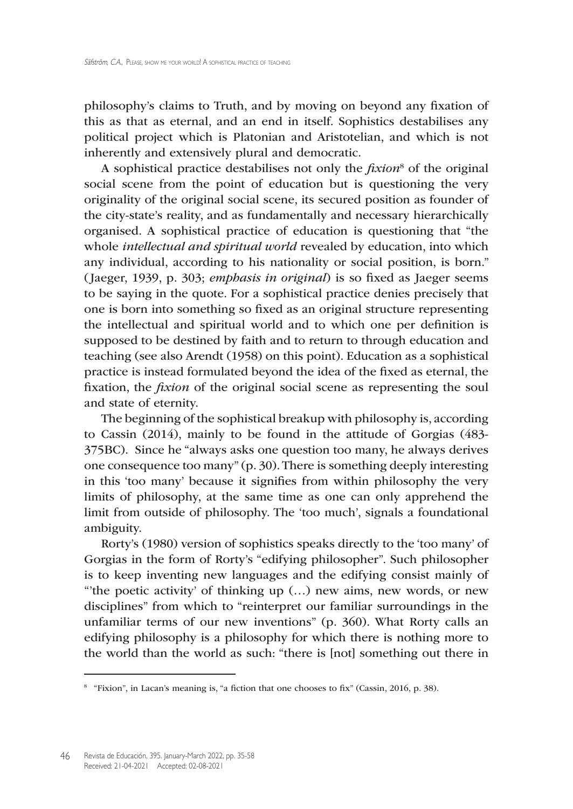philosophy's claims to Truth, and by moving on beyond any fixation of this as that as eternal, and an end in itself. Sophistics destabilises any political project which is Platonian and Aristotelian, and which is not inherently and extensively plural and democratic.

A sophistical practice destabilises not only the *fixion*<sup>8</sup> of the original social scene from the point of education but is questioning the very originality of the original social scene, its secured position as founder of the city-state's reality, and as fundamentally and necessary hierarchically organised. A sophistical practice of education is questioning that "the whole *intellectual and spiritual world* revealed by education, into which any individual, according to his nationality or social position, is born." ( Jaeger, 1939, p. 303; *emphasis in original*) is so fixed as Jaeger seems to be saying in the quote. For a sophistical practice denies precisely that one is born into something so fixed as an original structure representing the intellectual and spiritual world and to which one per definition is supposed to be destined by faith and to return to through education and teaching (see also Arendt (1958) on this point). Education as a sophistical practice is instead formulated beyond the idea of the fixed as eternal, the fixation, the *fixion* of the original social scene as representing the soul and state of eternity.

The beginning of the sophistical breakup with philosophy is, according to Cassin (2014), mainly to be found in the attitude of Gorgias (483- 375BC). Since he "always asks one question too many, he always derives one consequence too many" (p. 30).There is something deeply interesting in this 'too many' because it signifies from within philosophy the very limits of philosophy, at the same time as one can only apprehend the limit from outside of philosophy. The 'too much', signals a foundational ambiguity.

Rorty's (1980) version of sophistics speaks directly to the 'too many' of Gorgias in the form of Rorty's "edifying philosopher". Such philosopher is to keep inventing new languages and the edifying consist mainly of "'the poetic activity' of thinking up (…) new aims, new words, or new disciplines" from which to "reinterpret our familiar surroundings in the unfamiliar terms of our new inventions" (p. 360). What Rorty calls an edifying philosophy is a philosophy for which there is nothing more to the world than the world as such: "there is [not] something out there in

<sup>8</sup> "Fixion", in Lacan's meaning is, "a fiction that one chooses to fix" (Cassin, 2016, p. 38).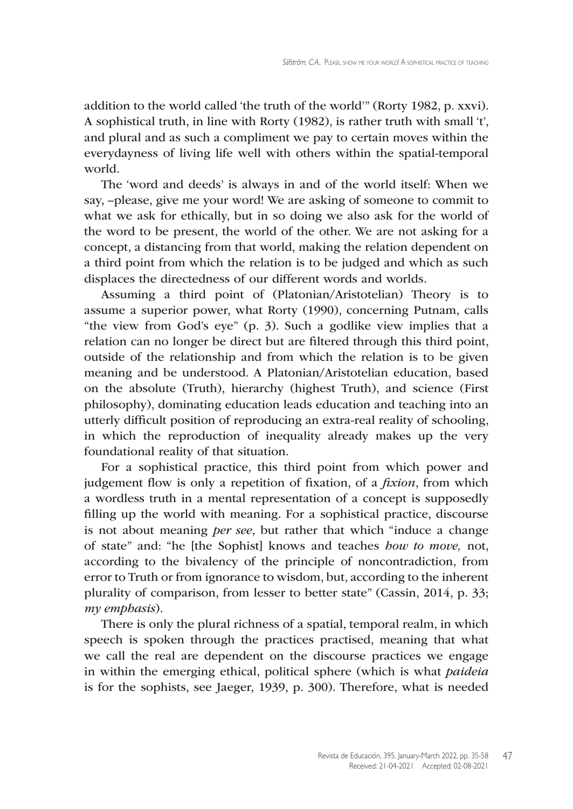addition to the world called 'the truth of the world'" (Rorty 1982, p. xxvi). A sophistical truth, in line with Rorty (1982), is rather truth with small 't', and plural and as such a compliment we pay to certain moves within the everydayness of living life well with others within the spatial-temporal world.

The 'word and deeds' is always in and of the world itself: When we say, –please, give me your word! We are asking of someone to commit to what we ask for ethically, but in so doing we also ask for the world of the word to be present, the world of the other. We are not asking for a concept, a distancing from that world, making the relation dependent on a third point from which the relation is to be judged and which as such displaces the directedness of our different words and worlds.

Assuming a third point of (Platonian/Aristotelian) Theory is to assume a superior power, what Rorty (1990), concerning Putnam, calls "the view from God's eye" (p. 3). Such a godlike view implies that a relation can no longer be direct but are filtered through this third point, outside of the relationship and from which the relation is to be given meaning and be understood. A Platonian/Aristotelian education, based on the absolute (Truth), hierarchy (highest Truth), and science (First philosophy), dominating education leads education and teaching into an utterly difficult position of reproducing an extra-real reality of schooling, in which the reproduction of inequality already makes up the very foundational reality of that situation.

For a sophistical practice, this third point from which power and judgement flow is only a repetition of fixation, of a *fixion*, from which a wordless truth in a mental representation of a concept is supposedly filling up the world with meaning. For a sophistical practice, discourse is not about meaning *per see*, but rather that which "induce a change of state" and: "he [the Sophist] knows and teaches *how to move,* not, according to the bivalency of the principle of noncontradiction, from error to Truth or from ignorance to wisdom, but, according to the inherent plurality of comparison, from lesser to better state" (Cassin, 2014, p. 33; *my emphasis*).

There is only the plural richness of a spatial, temporal realm, in which speech is spoken through the practices practised, meaning that what we call the real are dependent on the discourse practices we engage in within the emerging ethical, political sphere (which is what *paideia* is for the sophists, see Jaeger, 1939, p. 300). Therefore, what is needed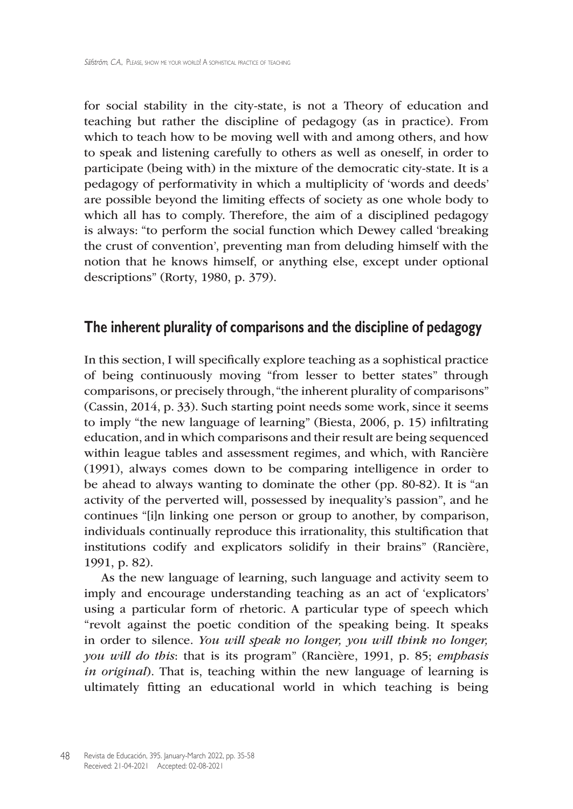for social stability in the city-state, is not a Theory of education and teaching but rather the discipline of pedagogy (as in practice). From which to teach how to be moving well with and among others, and how to speak and listening carefully to others as well as oneself, in order to participate (being with) in the mixture of the democratic city-state. It is a pedagogy of performativity in which a multiplicity of 'words and deeds' are possible beyond the limiting effects of society as one whole body to which all has to comply. Therefore, the aim of a disciplined pedagogy is always: "to perform the social function which Dewey called 'breaking the crust of convention', preventing man from deluding himself with the notion that he knows himself, or anything else, except under optional descriptions" (Rorty, 1980, p. 379).

## **The inherent plurality of comparisons and the discipline of pedagogy**

In this section, I will specifically explore teaching as a sophistical practice of being continuously moving "from lesser to better states" through comparisons, or precisely through, "the inherent plurality of comparisons" (Cassin, 2014, p. 33). Such starting point needs some work, since it seems to imply "the new language of learning" (Biesta, 2006, p. 15) infiltrating education, and in which comparisons and their result are being sequenced within league tables and assessment regimes, and which, with Rancière (1991), always comes down to be comparing intelligence in order to be ahead to always wanting to dominate the other (pp. 80-82). It is "an activity of the perverted will, possessed by inequality's passion", and he continues "[i]n linking one person or group to another, by comparison, individuals continually reproduce this irrationality, this stultification that institutions codify and explicators solidify in their brains" (Rancière, 1991, p. 82).

As the new language of learning, such language and activity seem to imply and encourage understanding teaching as an act of 'explicators' using a particular form of rhetoric. A particular type of speech which "revolt against the poetic condition of the speaking being. It speaks in order to silence. *You will speak no longer, you will think no longer, you will do this*: that is its program" (Rancière, 1991, p. 85; *emphasis in original*). That is, teaching within the new language of learning is ultimately fitting an educational world in which teaching is being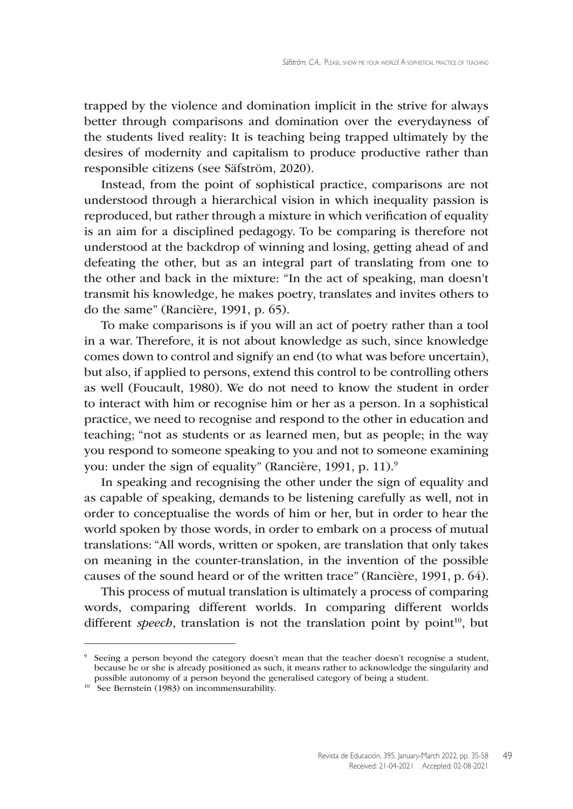trapped by the violence and domination implicit in the strive for always better through comparisons and domination over the everydayness of the students lived reality: It is teaching being trapped ultimately by the desires of modernity and capitalism to produce productive rather than responsible citizens (see Säfström, 2020).

Instead, from the point of sophistical practice, comparisons are not understood through a hierarchical vision in which inequality passion is reproduced, but rather through a mixture in which verification of equality is an aim for a disciplined pedagogy. To be comparing is therefore not understood at the backdrop of winning and losing, getting ahead of and defeating the other, but as an integral part of translating from one to the other and back in the mixture: "In the act of speaking, man doesn't transmit his knowledge, he makes poetry, translates and invites others to do the same" (Rancière, 1991, p. 65).

To make comparisons is if you will an act of poetry rather than a tool in a war. Therefore, it is not about knowledge as such, since knowledge comes down to control and signify an end (to what was before uncertain), but also, if applied to persons, extend this control to be controlling others as well (Foucault, 1980). We do not need to know the student in order to interact with him or recognise him or her as a person. In a sophistical practice, we need to recognise and respond to the other in education and teaching; "not as students or as learned men, but as people; in the way you respond to someone speaking to you and not to someone examining you: under the sign of equality" (Rancière, 1991, p. 11).<sup>9</sup>

In speaking and recognising the other under the sign of equality and as capable of speaking, demands to be listening carefully as well, not in order to conceptualise the words of him or her, but in order to hear the world spoken by those words, in order to embark on a process of mutual translations: "All words, written or spoken, are translation that only takes on meaning in the counter-translation, in the invention of the possible causes of the sound heard or of the written trace" (Rancière, 1991, p. 64).

This process of mutual translation is ultimately a process of comparing words, comparing different worlds. In comparing different worlds different *speech*, translation is not the translation point by point<sup>10</sup>, but

<sup>9</sup> Seeing a person beyond the category doesn't mean that the teacher doesn't recognise a student, because he or she is already positioned as such, it means rather to acknowledge the singularity and possible autonomy of a person beyond the generalised category of being a student.

<sup>10</sup> See Bernstein (1983) on incommensurability.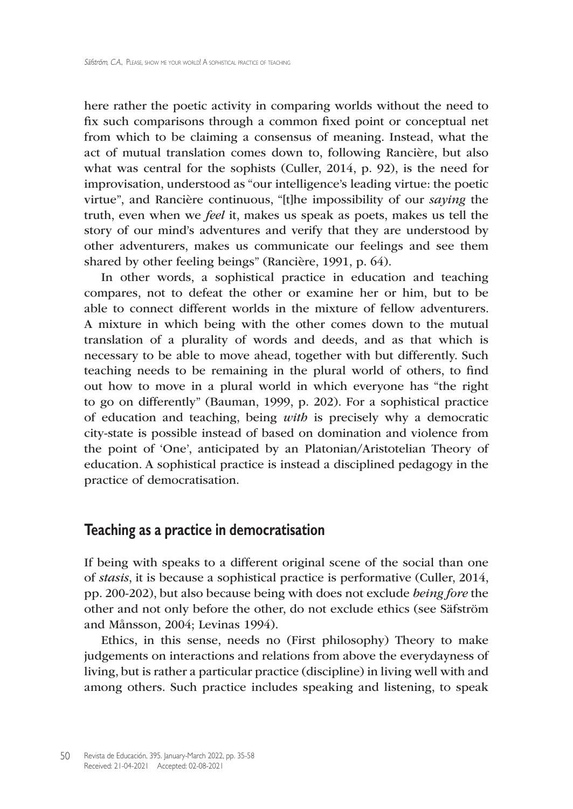here rather the poetic activity in comparing worlds without the need to fix such comparisons through a common fixed point or conceptual net from which to be claiming a consensus of meaning. Instead, what the act of mutual translation comes down to, following Rancière, but also what was central for the sophists (Culler, 2014, p. 92), is the need for improvisation, understood as "our intelligence's leading virtue: the poetic virtue", and Rancière continuous, "[t]he impossibility of our *saying* the truth, even when we *feel* it, makes us speak as poets, makes us tell the story of our mind's adventures and verify that they are understood by other adventurers, makes us communicate our feelings and see them shared by other feeling beings" (Rancière, 1991, p. 64).

In other words, a sophistical practice in education and teaching compares, not to defeat the other or examine her or him, but to be able to connect different worlds in the mixture of fellow adventurers. A mixture in which being with the other comes down to the mutual translation of a plurality of words and deeds, and as that which is necessary to be able to move ahead, together with but differently. Such teaching needs to be remaining in the plural world of others, to find out how to move in a plural world in which everyone has "the right to go on differently" (Bauman, 1999, p. 202). For a sophistical practice of education and teaching, being *with* is precisely why a democratic city-state is possible instead of based on domination and violence from the point of 'One', anticipated by an Platonian/Aristotelian Theory of education. A sophistical practice is instead a disciplined pedagogy in the practice of democratisation.

### **Teaching as a practice in democratisation**

If being with speaks to a different original scene of the social than one of *stasis*, it is because a sophistical practice is performative (Culler, 2014, pp. 200-202), but also because being with does not exclude *being fore* the other and not only before the other, do not exclude ethics (see Säfström and Månsson, 2004; Levinas 1994).

Ethics, in this sense, needs no (First philosophy) Theory to make judgements on interactions and relations from above the everydayness of living, but is rather a particular practice (discipline) in living well with and among others. Such practice includes speaking and listening, to speak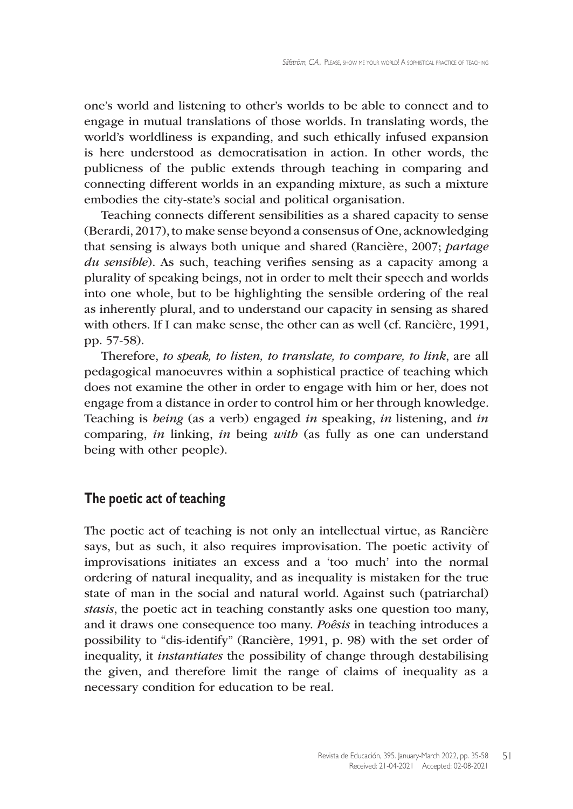one's world and listening to other's worlds to be able to connect and to engage in mutual translations of those worlds. In translating words, the world's worldliness is expanding, and such ethically infused expansion is here understood as democratisation in action. In other words, the publicness of the public extends through teaching in comparing and connecting different worlds in an expanding mixture, as such a mixture embodies the city-state's social and political organisation.

Teaching connects different sensibilities as a shared capacity to sense (Berardi, 2017), to make sense beyond a consensus of One, acknowledging that sensing is always both unique and shared (Rancière, 2007; *partage du sensible*). As such, teaching verifies sensing as a capacity among a plurality of speaking beings, not in order to melt their speech and worlds into one whole, but to be highlighting the sensible ordering of the real as inherently plural, and to understand our capacity in sensing as shared with others. If I can make sense, the other can as well (cf. Rancière, 1991, pp. 57-58).

Therefore, *to speak, to listen, to translate, to compare, to link*, are all pedagogical manoeuvres within a sophistical practice of teaching which does not examine the other in order to engage with him or her, does not engage from a distance in order to control him or her through knowledge. Teaching is *being* (as a verb) engaged *in* speaking, *in* listening, and *in* comparing, *in* linking, *in* being *with* (as fully as one can understand being with other people).

#### **The poetic act of teaching**

The poetic act of teaching is not only an intellectual virtue, as Rancière says, but as such, it also requires improvisation. The poetic activity of improvisations initiates an excess and a 'too much' into the normal ordering of natural inequality, and as inequality is mistaken for the true state of man in the social and natural world. Against such (patriarchal) *stasis*, the poetic act in teaching constantly asks one question too many, and it draws one consequence too many. *Poêsis* in teaching introduces a possibility to "dis-identify" (Rancière, 1991, p. 98) with the set order of inequality, it *instantiates* the possibility of change through destabilising the given, and therefore limit the range of claims of inequality as a necessary condition for education to be real.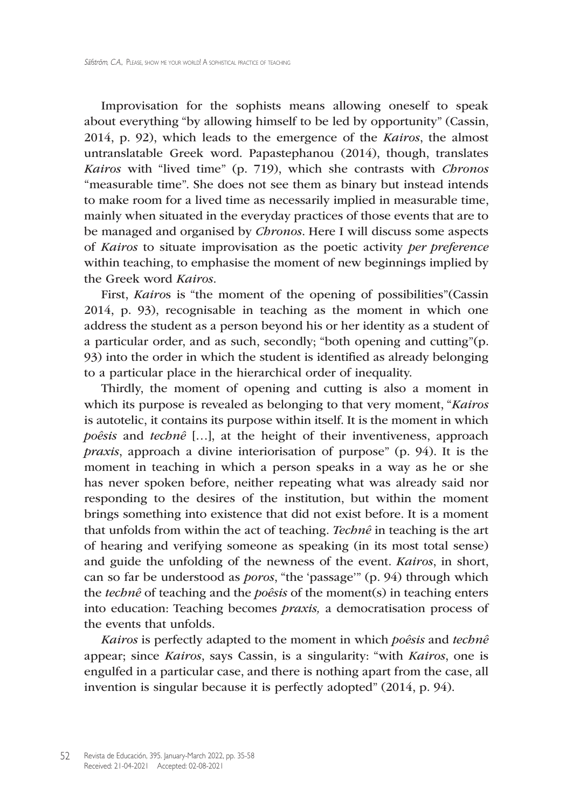Improvisation for the sophists means allowing oneself to speak about everything "by allowing himself to be led by opportunity" (Cassin, 2014, p. 92), which leads to the emergence of the *Kairos*, the almost untranslatable Greek word. Papastephanou (2014), though, translates *Kairos* with "lived time" (p. 719), which she contrasts with *Chronos* "measurable time". She does not see them as binary but instead intends to make room for a lived time as necessarily implied in measurable time, mainly when situated in the everyday practices of those events that are to be managed and organised by *Chronos*. Here I will discuss some aspects of *Kairos* to situate improvisation as the poetic activity *per preference* within teaching, to emphasise the moment of new beginnings implied by the Greek word *Kairos*.

First, *Kairo*s is "the moment of the opening of possibilities"(Cassin 2014, p. 93), recognisable in teaching as the moment in which one address the student as a person beyond his or her identity as a student of a particular order, and as such, secondly; "both opening and cutting"(p. 93) into the order in which the student is identified as already belonging to a particular place in the hierarchical order of inequality.

Thirdly, the moment of opening and cutting is also a moment in which its purpose is revealed as belonging to that very moment, "*Kairos* is autotelic, it contains its purpose within itself. It is the moment in which *poêsis* and *technê* […], at the height of their inventiveness, approach *praxis*, approach a divine interiorisation of purpose" (p. 94). It is the moment in teaching in which a person speaks in a way as he or she has never spoken before, neither repeating what was already said nor responding to the desires of the institution, but within the moment brings something into existence that did not exist before. It is a moment that unfolds from within the act of teaching. *Technê* in teaching is the art of hearing and verifying someone as speaking (in its most total sense) and guide the unfolding of the newness of the event. *Kairos*, in short, can so far be understood as *poros*, "the 'passage'" (p. 94) through which the *technê* of teaching and the *poêsis* of the moment(s) in teaching enters into education: Teaching becomes *praxis,* a democratisation process of the events that unfolds.

*Kairos* is perfectly adapted to the moment in which *poêsis* and *technê* appear; since *Kairos*, says Cassin, is a singularity: "with *Kairos*, one is engulfed in a particular case, and there is nothing apart from the case, all invention is singular because it is perfectly adopted" (2014, p. 94).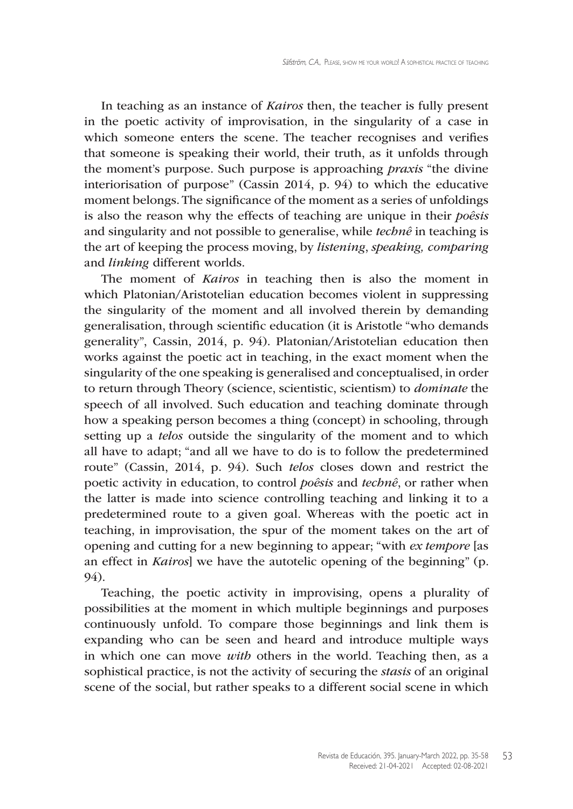In teaching as an instance of *Kairos* then, the teacher is fully present in the poetic activity of improvisation, in the singularity of a case in which someone enters the scene. The teacher recognises and verifies that someone is speaking their world, their truth, as it unfolds through the moment's purpose. Such purpose is approaching *praxis* "the divine interiorisation of purpose" (Cassin 2014, p. 94) to which the educative moment belongs. The significance of the moment as a series of unfoldings is also the reason why the effects of teaching are unique in their *poêsis* and singularity and not possible to generalise, while *technê* in teaching is the art of keeping the process moving, by *listening*, *speaking, comparing*  and *linking* different worlds.

The moment of *Kairos* in teaching then is also the moment in which Platonian/Aristotelian education becomes violent in suppressing the singularity of the moment and all involved therein by demanding generalisation, through scientific education (it is Aristotle "who demands generality", Cassin, 2014, p. 94). Platonian/Aristotelian education then works against the poetic act in teaching, in the exact moment when the singularity of the one speaking is generalised and conceptualised, in order to return through Theory (science, scientistic, scientism) to *dominate* the speech of all involved. Such education and teaching dominate through how a speaking person becomes a thing (concept) in schooling, through setting up a *telos* outside the singularity of the moment and to which all have to adapt; "and all we have to do is to follow the predetermined route" (Cassin, 2014, p. 94). Such *telos* closes down and restrict the poetic activity in education, to control *poêsis* and *technê*, or rather when the latter is made into science controlling teaching and linking it to a predetermined route to a given goal. Whereas with the poetic act in teaching, in improvisation, the spur of the moment takes on the art of opening and cutting for a new beginning to appear; "with *ex tempore* [as an effect in *Kairos*] we have the autotelic opening of the beginning" (p. 94).

Teaching, the poetic activity in improvising, opens a plurality of possibilities at the moment in which multiple beginnings and purposes continuously unfold. To compare those beginnings and link them is expanding who can be seen and heard and introduce multiple ways in which one can move *with* others in the world. Teaching then, as a sophistical practice, is not the activity of securing the *stasis* of an original scene of the social, but rather speaks to a different social scene in which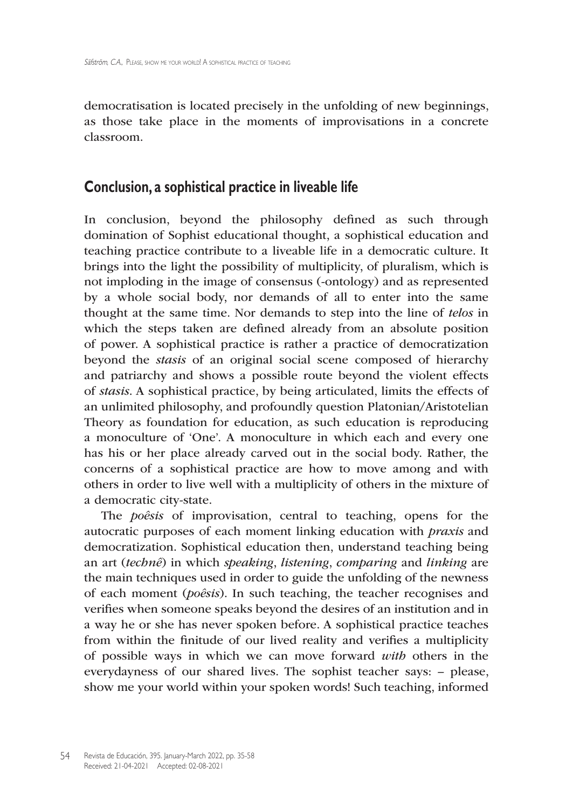democratisation is located precisely in the unfolding of new beginnings, as those take place in the moments of improvisations in a concrete classroom.

## **Conclusion, a sophistical practice in liveable life**

In conclusion, beyond the philosophy defined as such through domination of Sophist educational thought, a sophistical education and teaching practice contribute to a liveable life in a democratic culture. It brings into the light the possibility of multiplicity, of pluralism, which is not imploding in the image of consensus (-ontology) and as represented by a whole social body, nor demands of all to enter into the same thought at the same time. Nor demands to step into the line of *telos* in which the steps taken are defined already from an absolute position of power. A sophistical practice is rather a practice of democratization beyond the *stasis* of an original social scene composed of hierarchy and patriarchy and shows a possible route beyond the violent effects of *stasis*. A sophistical practice, by being articulated, limits the effects of an unlimited philosophy, and profoundly question Platonian/Aristotelian Theory as foundation for education, as such education is reproducing a monoculture of 'One'. A monoculture in which each and every one has his or her place already carved out in the social body. Rather, the concerns of a sophistical practice are how to move among and with others in order to live well with a multiplicity of others in the mixture of a democratic city-state.

The *poêsis* of improvisation, central to teaching, opens for the autocratic purposes of each moment linking education with *praxis* and democratization. Sophistical education then, understand teaching being an art (*technê*) in which *speaking*, *listening*, *comparing* and *linking* are the main techniques used in order to guide the unfolding of the newness of each moment (*poêsis*). In such teaching, the teacher recognises and verifies when someone speaks beyond the desires of an institution and in a way he or she has never spoken before. A sophistical practice teaches from within the finitude of our lived reality and verifies a multiplicity of possible ways in which we can move forward *with* others in the everydayness of our shared lives. The sophist teacher says: – please, show me your world within your spoken words! Such teaching, informed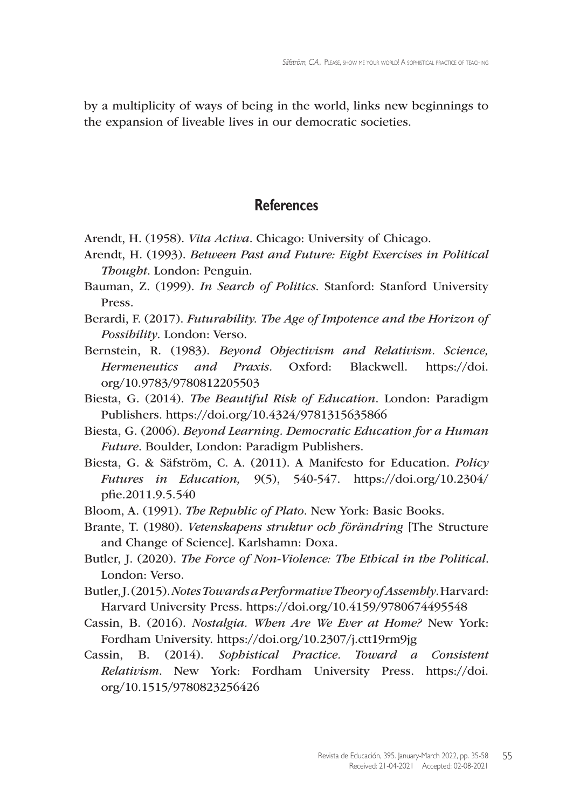by a multiplicity of ways of being in the world, links new beginnings to the expansion of liveable lives in our democratic societies.

#### **References**

- Arendt, H. (1958). *Vita Activa*. Chicago: University of Chicago.
- Arendt, H. (1993). *Between Past and Future: Eight Exercises in Political Thought*. London: Penguin.
- Bauman, Z. (1999). *In Search of Politics*. Stanford: Stanford University Press.
- Berardi, F. (2017). *Futurability. The Age of Impotence and the Horizon of Possibility*. London: Verso.
- Bernstein, R. (1983). *Beyond Objectivism and Relativism. Science, Hermeneutics and Praxis.* Oxford: Blackwell. [https://doi.](https://doi.org/10.9783/9780812205503) [org/10.9783/9780812205503](https://doi.org/10.9783/9780812205503)
- Biesta, G. (2014). *The Beautiful Risk of Education*. London: Paradigm Publishers. <https://doi.org/10.4324/9781315635866>
- Biesta, G. (2006). *Beyond Learning. Democratic Education for a Human Future*. Boulder, London: Paradigm Publishers.
- Biesta, G. & Säfström, C. A. (2011). A Manifesto for Education. *Policy Futures in Education,* 9(5), 540-547. https://doi.org/10.2304/ pfie.2011.9.5.540
- Bloom, A. (1991). *The Republic of Plato*. New York: Basic Books.
- Brante, T. (1980). *Vetenskapens struktur och förändring* [The Structure and Change of Science]. Karlshamn: Doxa.
- Butler, J. (2020). *The Force of Non-Violence: The Ethical in the Political*. London: Verso.
- Butler,J.(2015).*Notes Towards a Performative Theory of Assembly*. Harvard: Harvard University Press. <https://doi.org/10.4159/9780674495548>
- Cassin, B. (2016). *Nostalgia. When Are We Ever at Home?* New York: Fordham University. <https://doi.org/10.2307/j.ctt19rm9jg>
- Cassin, B. (2014). *Sophistical Practice. Toward a Consistent Relativism*. New York: Fordham University Press. [https://doi.](https://doi.org/10.1515/9780823256426) [org/10.1515/9780823256426](https://doi.org/10.1515/9780823256426)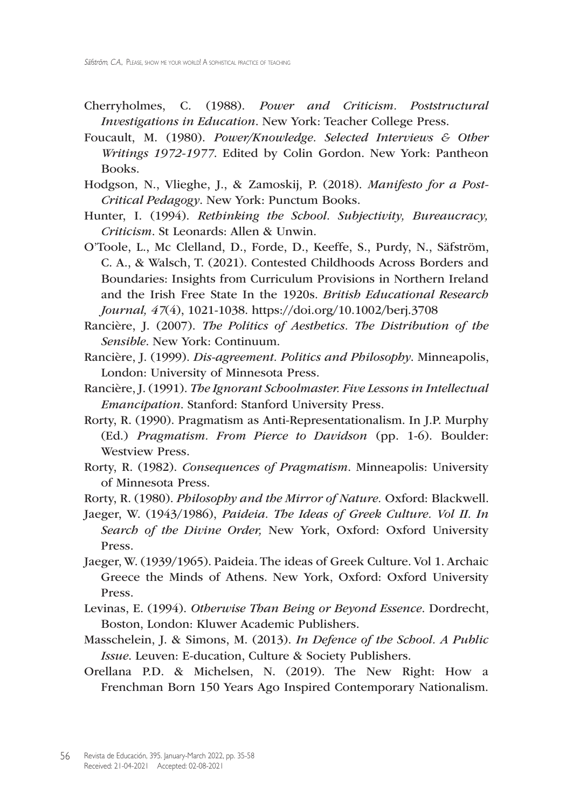- Cherryholmes, C. (1988). *Power and Criticism. Poststructural Investigations in Education*. New York: Teacher College Press.
- Foucault, M. (1980). *Power/Knowledge. Selected Interviews & Other Writings 1972-1977*. Edited by Colin Gordon. New York: Pantheon Books.
- Hodgson, N., Vlieghe, J., & Zamoskij, P. (2018). *Manifesto for a Post-Critical Pedagogy*. New York: Punctum Books.
- Hunter, I. (1994). *Rethinking the School. Subjectivity, Bureaucracy, Criticism*. St Leonards: Allen & Unwin.
- O'Toole, L., Mc Clelland, D., Forde, D., Keeffe, S., Purdy, N., Säfström, C. A., & Walsch, T. (2021). Contested Childhoods Across Borders and Boundaries: Insights from Curriculum Provisions in Northern Ireland and the Irish Free State In the 1920s. *British Educational Research Journal, 47*(4), 1021-1038. <https://doi.org/10.1002/berj.3708>
- Rancière, J. (2007). *The Politics of Aesthetics. The Distribution of the Sensible*. New York: Continuum.
- Rancière, J. (1999). *Dis-agreement. Politics and Philosophy*. Minneapolis, London: University of Minnesota Press.
- Rancière, J. (1991). *The Ignorant Schoolmaster. Five Lessons in Intellectual Emancipation*. Stanford: Stanford University Press.
- Rorty, R. (1990). Pragmatism as Anti-Representationalism. In J.P. Murphy (Ed.) *Pragmatism. From Pierce to Davidson* (pp. 1-6). Boulder: Westview Press.
- Rorty, R. (1982). *Consequences of Pragmatism*. Minneapolis: University of Minnesota Press.
- Rorty, R. (1980). *Philosophy and the Mirror of Nature.* Oxford: Blackwell.
- Jaeger, W. (1943/1986), *Paideia. The Ideas of Greek Culture. Vol II. In Search of the Divine Order,* New York, Oxford: Oxford University Press.
- Jaeger, W. (1939/1965). Paideia. The ideas of Greek Culture. Vol 1. Archaic Greece the Minds of Athens. New York, Oxford: Oxford University Press.
- Levinas, E. (1994). *Otherwise Than Being or Beyond Essence*. Dordrecht, Boston, London: Kluwer Academic Publishers.
- Masschelein, J. & Simons, M. (2013). *In Defence of the School. A Public Issue*. Leuven: E-ducation, Culture & Society Publishers.
- Orellana P.D. & Michelsen, N. (2019). The New Right: How a Frenchman Born 150 Years Ago Inspired Contemporary Nationalism.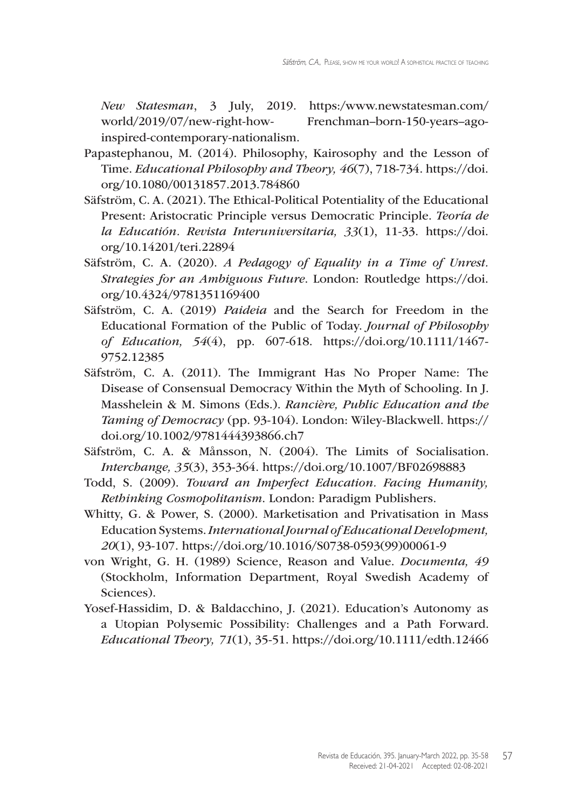*New Statesman*, 3 July, 2019. https:/[www.newstatesman.com/](www.newstatesman.com/world/2019/07/new) [world/2019/07/new](www.newstatesman.com/world/2019/07/new)-right-how- Frenchman–born-150-years–agoinspired-contemporary-nationalism.

- Papastephanou, M. (2014). Philosophy, Kairosophy and the Lesson of Time. *Educational Philosophy and Theory, 46*(7), 718-734. [https://doi.](https://doi.org/10.1080/00131857.2013.784860) [org/10.1080/00131857.2013.784860](https://doi.org/10.1080/00131857.2013.784860)
- Säfström, C. A. (2021). The Ethical-Political Potentiality of the Educational Present: Aristocratic Principle versus Democratic Principle. *Teoría de la Educatión. Revista Interuniversitaria, 33*(1), 11-33. [https://doi.](https://doi.org/10.14201/teri.22894) [org/10.14201/teri.22894](https://doi.org/10.14201/teri.22894)
- Säfström, C. A. (2020). *A Pedagogy of Equality in a Time of Unrest. Strategies for an Ambiguous Future*. London: Routledge [https://doi.](https://doi.org/10.4324/9781351169400) [org/10.4324/9781351169400](https://doi.org/10.4324/9781351169400)
- Säfström, C. A. (2019) *Paideia* and the Search for Freedom in the Educational Formation of the Public of Today. *Journal of Philosophy of Education, 54*(4), pp. 607-618. [https://doi.org/10.1111/1467-](https://doi.org/10.1111/1467-9752.12385) [9752.12385](https://doi.org/10.1111/1467-9752.12385)
- Säfström, C. A. (2011). The Immigrant Has No Proper Name: The Disease of Consensual Democracy Within the Myth of Schooling. In J. Masshelein & M. Simons (Eds.). *Rancière, Public Education and the Taming of Democracy* (pp. 93-104). London: Wiley-Blackwell. [https://](https://doi.org/10.1002/9781444393866.ch7) [doi.org/10.1002/9781444393866.ch7](https://doi.org/10.1002/9781444393866.ch7)
- Säfström, C. A. & Månsson, N. (2004). The Limits of Socialisation. *Interchange, 35*(3), 353-364. <https://doi.org/10.1007/BF02698883>
- Todd, S. (2009). *Toward an Imperfect Education. Facing Humanity, Rethinking Cosmopolitanism*. London: Paradigm Publishers.
- Whitty, G. & Power, S. (2000). Marketisation and Privatisation in Mass Education Systems.*International Journal of Educational Development, 20*(1), 93-107. <https://doi.org/10.1016/S0738>-0593(99)00061-9
- von Wright, G. H. (1989) Science, Reason and Value. *Documenta, 49* (Stockholm, Information Department, Royal Swedish Academy of Sciences).
- Yosef-Hassidim, D. & Baldacchino, J. (2021). Education's Autonomy as a Utopian Polysemic Possibility: Challenges and a Path Forward. *Educational Theory, 71*(1), 35-51. <https://doi.org/10.1111/edth.12466>